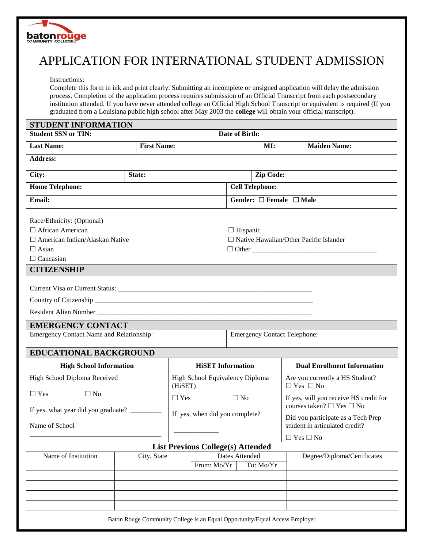

## APPLICATION FOR INTERNATIONAL STUDENT ADMISSION

Instructions:

Complete this form in ink and print clearly. Submitting an incomplete or unsigned application will delay the admission process. Completion of the application process requires submission of an Official Transcript from each postsecondary institution attended. If you have never attended college an Official High School Transcript or equivalent is required (If you graduated from a Louisiana public high school after May 2003 the **college** will obtain your official transcript).

| <b>STUDENT INFORMATION</b>                                       |                                                                             |                                 |                                     |                                         |                                               |                                                                      |                                        |  |  |
|------------------------------------------------------------------|-----------------------------------------------------------------------------|---------------------------------|-------------------------------------|-----------------------------------------|-----------------------------------------------|----------------------------------------------------------------------|----------------------------------------|--|--|
| <b>Student SSN or TIN:</b>                                       |                                                                             |                                 |                                     | Date of Birth:                          |                                               |                                                                      |                                        |  |  |
| <b>Last Name:</b>                                                | <b>First Name:</b>                                                          |                                 |                                     | MI:                                     |                                               |                                                                      | <b>Maiden Name:</b>                    |  |  |
| <b>Address:</b>                                                  |                                                                             |                                 |                                     |                                         |                                               |                                                                      |                                        |  |  |
| City:<br>State:                                                  |                                                                             |                                 | <b>Zip Code:</b>                    |                                         |                                               |                                                                      |                                        |  |  |
| <b>Home Telephone:</b>                                           |                                                                             |                                 |                                     | <b>Cell Telephone:</b>                  |                                               |                                                                      |                                        |  |  |
| Email:                                                           |                                                                             |                                 |                                     | Gender: $\square$ Female $\square$ Male |                                               |                                                                      |                                        |  |  |
| Race/Ethnicity: (Optional)                                       |                                                                             |                                 |                                     |                                         |                                               |                                                                      |                                        |  |  |
| $\Box$ African American                                          |                                                                             |                                 |                                     |                                         | $\Box$ Hispanic                               |                                                                      |                                        |  |  |
| $\Box$ American Indian/Alaskan Native                            |                                                                             |                                 |                                     |                                         | $\Box$ Native Hawaiian/Other Pacific Islander |                                                                      |                                        |  |  |
| $\Box$ Asian                                                     |                                                                             |                                 |                                     |                                         | $\Box$ Other                                  |                                                                      |                                        |  |  |
| $\Box$ Caucasian                                                 |                                                                             |                                 |                                     |                                         |                                               |                                                                      |                                        |  |  |
| <b>CITIZENSHIP</b>                                               |                                                                             |                                 |                                     |                                         |                                               |                                                                      |                                        |  |  |
|                                                                  |                                                                             |                                 |                                     |                                         |                                               |                                                                      |                                        |  |  |
|                                                                  |                                                                             |                                 |                                     |                                         |                                               |                                                                      |                                        |  |  |
|                                                                  |                                                                             |                                 |                                     |                                         |                                               |                                                                      |                                        |  |  |
|                                                                  |                                                                             |                                 |                                     |                                         |                                               |                                                                      |                                        |  |  |
| <b>EMERGENCY CONTACT</b>                                         |                                                                             |                                 |                                     |                                         |                                               |                                                                      |                                        |  |  |
| Emergency Contact Name and Relationship:                         |                                                                             |                                 | <b>Emergency Contact Telephone:</b> |                                         |                                               |                                                                      |                                        |  |  |
| <b>EDUCATIONAL BACKGROUND</b>                                    |                                                                             |                                 |                                     |                                         |                                               |                                                                      |                                        |  |  |
| <b>High School Information</b>                                   |                                                                             | <b>HiSET</b> Information        |                                     |                                         |                                               |                                                                      | <b>Dual Enrollment Information</b>     |  |  |
| High School Diploma Received                                     |                                                                             | High School Equivalency Diploma |                                     |                                         |                                               |                                                                      | Are you currently a HS Student?        |  |  |
|                                                                  |                                                                             | (HiSET)                         |                                     |                                         |                                               | $\Box$ Yes $\Box$ No                                                 |                                        |  |  |
| $\Box$ Yes<br>$\Box$ No                                          |                                                                             | $\Box$ Yes                      |                                     |                                         | $\Box$ No                                     |                                                                      | If yes, will you receive HS credit for |  |  |
|                                                                  |                                                                             | If yes, when did you complete?  |                                     |                                         |                                               | courses taken? $\Box$ Yes $\Box$ No                                  |                                        |  |  |
| Name of School                                                   |                                                                             |                                 |                                     |                                         |                                               | Did you participate as a Tech Prep<br>student in articulated credit? |                                        |  |  |
|                                                                  |                                                                             |                                 |                                     |                                         |                                               |                                                                      |                                        |  |  |
| $\Box$ Yes $\Box$ No<br><b>List Previous College(s) Attended</b> |                                                                             |                                 |                                     |                                         |                                               |                                                                      |                                        |  |  |
| Dates Attended<br>Name of Institution<br>City, State             |                                                                             |                                 |                                     |                                         |                                               | Degree/Diploma/Certificates                                          |                                        |  |  |
|                                                                  |                                                                             |                                 |                                     | To: Mo/Yr<br>From: Mo/Yr                |                                               |                                                                      |                                        |  |  |
|                                                                  |                                                                             |                                 |                                     |                                         |                                               |                                                                      |                                        |  |  |
|                                                                  |                                                                             |                                 |                                     |                                         |                                               |                                                                      |                                        |  |  |
|                                                                  |                                                                             |                                 |                                     |                                         |                                               |                                                                      |                                        |  |  |
|                                                                  |                                                                             |                                 |                                     |                                         |                                               |                                                                      |                                        |  |  |
|                                                                  | Baton Rouge Community College is an Equal Opportunity/Equal Access Employer |                                 |                                     |                                         |                                               |                                                                      |                                        |  |  |